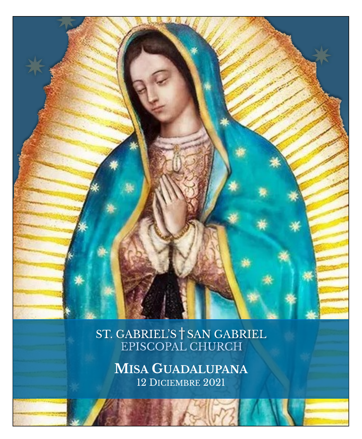

ST. GABRIEL'S <sup>†</sup> SAN GABRIEL<br>EPISCOPAL CHURCH

**MISA GUADALUPANA** 12 DICIEMBRE 2021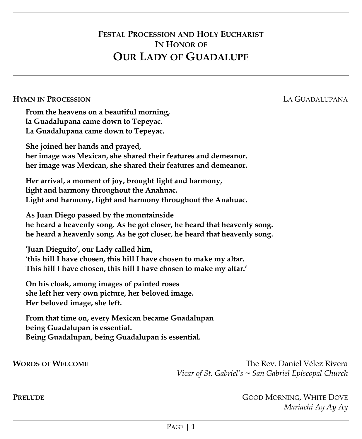# **FESTAL PROCESSION AND HOLY EUCHARIST IN HONOR OF OUR LADY OF GUADALUPE**

### **HYMN IN PROCESSION** LA GUADALUPANA

**From the heavens on a beautiful morning, la Guadalupana came down to Tepeyac. La Guadalupana came down to Tepeyac.**

**She joined her hands and prayed, her image was Mexican, she shared their features and demeanor. her image was Mexican, she shared their features and demeanor.**

**Her arrival, a moment of joy, brought light and harmony, light and harmony throughout the Anahuac. Light and harmony, light and harmony throughout the Anahuac.**

**As Juan Diego passed by the mountainside he heard a heavenly song. As he got closer, he heard that heavenly song. he heard a heavenly song. As he got closer, he heard that heavenly song.**

**'Juan Dieguito', our Lady called him, 'this hill I have chosen, this hill I have chosen to make my altar. This hill I have chosen, this hill I have chosen to make my altar.'**

**On his cloak, among images of painted roses she left her very own picture, her beloved image. Her beloved image, she left.**

**From that time on, every Mexican became Guadalupan being Guadalupan is essential. Being Guadalupan, being Guadalupan is essential.**

**WORDS** OF WELCOME *Vicar of St. Gabriel's* **~** *San Gabriel Episcopal Church*

**PRELUDE** GOOD MORNING, WHITE DOVE *Mariachi Ay Ay Ay*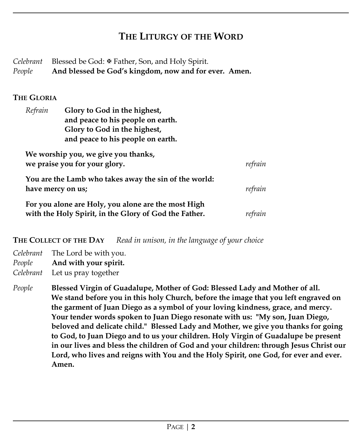# **THE LITURGY OF THE WORD**

Celebrant Blessed be God: **<sup>■</sup>** Father, Son, and Holy Spirit. *People* **And blessed be God's kingdom, now and for ever. Amen.**

## **THE GLORIA**

| Refrain                                                                    | Glory to God in the highest,<br>and peace to his people on earth.<br>Glory to God in the highest,<br>and peace to his people on earth. |         |
|----------------------------------------------------------------------------|----------------------------------------------------------------------------------------------------------------------------------------|---------|
|                                                                            | We worship you, we give you thanks,<br>we praise you for your glory.                                                                   | refrain |
| You are the Lamb who takes away the sin of the world:<br>have mercy on us; |                                                                                                                                        | refrain |
|                                                                            | For you alone are Holy, you alone are the most High<br>with the Holy Spirit, in the Glory of God the Father.                           |         |

**THE COLLECT OF THE DAY** *Read in unison, in the language of your choice*

*Celebrant* The Lord be with you. *People* **And with your spirit.** *Celebrant* Let us pray together

*People* **Blessed Virgin of Guadalupe, Mother of God: Blessed Lady and Mother of all. We stand before you in this holy Church, before the image that you left engraved on the garment of Juan Diego as a symbol of your loving kindness, grace, and mercy. Your tender words spoken to Juan Diego resonate with us: "My son, Juan Diego, beloved and delicate child." Blessed Lady and Mother, we give you thanks for going to God, to Juan Diego and to us your children. Holy Virgin of Guadalupe be present in our lives and bless the children of God and your children: through Jesus Christ our Lord, who lives and reigns with You and the Holy Spirit, one God, for ever and ever. Amen.**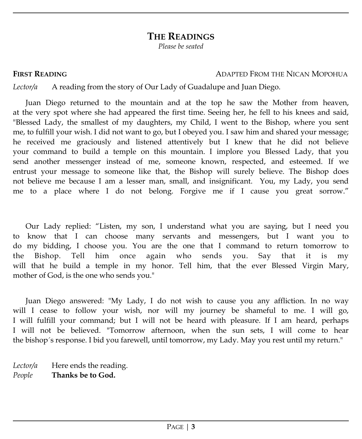# **THE READINGS**

*Please be seated*

## **FIRST READING** ADAPTED FROM THE NICAN MOPOHUA

*Lector/a* A reading from the story of Our Lady of Guadalupe and Juan Diego.

Juan Diego returned to the mountain and at the top he saw the Mother from heaven, at the very spot where she had appeared the first time. Seeing her, he fell to his knees and said, "Blessed Lady, the smallest of my daughters, my Child, I went to the Bishop, where you sent me, to fulfill your wish. I did not want to go, but I obeyed you. I saw him and shared your message; he received me graciously and listened attentively but I knew that he did not believe your command to build a temple on this mountain. I implore you Blessed Lady, that you send another messenger instead of me, someone known, respected, and esteemed. If we entrust your message to someone like that, the Bishop will surely believe. The Bishop does not believe me because I am a lesser man, small, and insignificant. You, my Lady, you send me to a place where I do not belong. Forgive me if I cause you great sorrow."

Our Lady replied: "Listen, my son, I understand what you are saying, but I need you to know that I can choose many servants and messengers, but I want you to do my bidding, I choose you. You are the one that I command to return tomorrow to the Bishop. Tell him once again who sends you. Say that it is my will that he build a temple in my honor. Tell him, that the ever Blessed Virgin Mary, mother of God, is the one who sends you."

Juan Diego answered: "My Lady, I do not wish to cause you any affliction. In no way will I cease to follow your wish, nor will my journey be shameful to me. I will go, I will fulfill your command; but I will not be heard with pleasure. If I am heard, perhaps I will not be believed. "Tomorrow afternoon, when the sun sets, I will come to hear the bishop´s response. I bid you farewell, until tomorrow, my Lady. May you rest until my return."

*Lector/a* Here ends the reading. *People* **Thanks be to God.**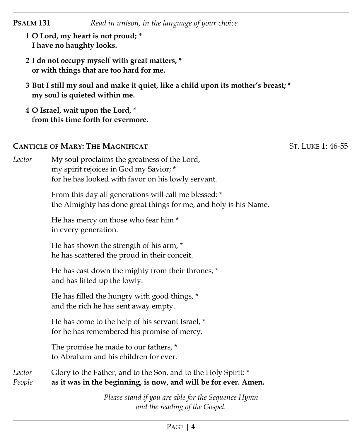| <b>PSALM 131</b> | Read in unison, in the language of your choice                                                                                               |                   |
|------------------|----------------------------------------------------------------------------------------------------------------------------------------------|-------------------|
|                  | 1 O Lord, my heart is not proud; *<br>I have no haughty looks.                                                                               |                   |
|                  | 2 I do not occupy myself with great matters, *<br>or with things that are too hard for me.                                                   |                   |
|                  | 3 But I still my soul and make it quiet, like a child upon its mother's breast; *<br>my soul is quieted within me.                           |                   |
|                  | 4 O Israel, wait upon the Lord, *<br>from this time forth for evermore.                                                                      |                   |
|                  | <b>CANTICLE OF MARY: THE MAGNIFICAT</b>                                                                                                      | ST. LUKE 1: 46-55 |
| Lector           | My soul proclaims the greatness of the Lord,<br>my spirit rejoices in God my Savior; *<br>for he has looked with favor on his lowly servant. |                   |
|                  | From this day all generations will call me blessed: *<br>the Almighty has done great things for me, and holy is his Name.                    |                   |
|                  | He has mercy on those who fear him*<br>in every generation.                                                                                  |                   |
|                  | He has shown the strength of his arm, *<br>he has scattered the proud in their conceit.                                                      |                   |
|                  | He has cast down the mighty from their thrones, *<br>and has lifted up the lowly.                                                            |                   |
|                  | He has filled the hungry with good things, *<br>and the rich he has sent away empty.                                                         |                   |
|                  | He has come to the help of his servant Israel, *<br>for he has remembered his promise of mercy,                                              |                   |
|                  | The promise he made to our fathers, *<br>to Abraham and his children for ever.                                                               |                   |
| Lector<br>People | Glory to the Father, and to the Son, and to the Holy Spirit: *<br>as it was in the beginning, is now, and will be for ever. Amen.            |                   |
|                  | Please stand if you are able for the Sequence Hymn<br>and the reading of the Gospel.                                                         |                   |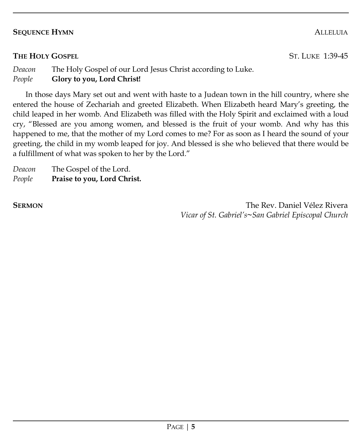# **SEQUENCE HYMN** ALLELUIA

# **THE HOLY GOSPEL** ST. LUKE 1:39-45

# *Deacon* The Holy Gospel of our Lord Jesus Christ according to Luke. *People* **Glory to you, Lord Christ!**

In those days Mary set out and went with haste to a Judean town in the hill country, where she entered the house of Zechariah and greeted Elizabeth. When Elizabeth heard Mary's greeting, the child leaped in her womb. And Elizabeth was filled with the Holy Spirit and exclaimed with a loud cry, "Blessed are you among women, and blessed is the fruit of your womb. And why has this happened to me, that the mother of my Lord comes to me? For as soon as I heard the sound of your greeting, the child in my womb leaped for joy. And blessed is she who believed that there would be a fulfillment of what was spoken to her by the Lord."

*Deacon* The Gospel of the Lord. *People* **Praise to you, Lord Christ.**

**SERMON** The Rev. Daniel Vélez Rivera *Vicar of St. Gabriel's***~***San Gabriel Episcopal Church*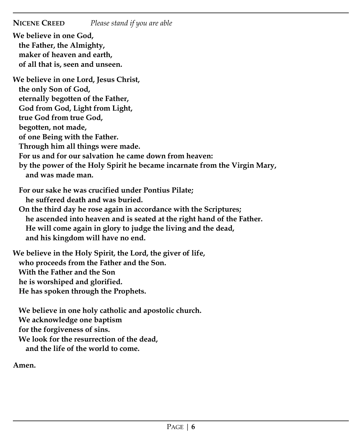**NICENE CREED** *Please stand if you are able*

**We believe in one God, the Father, the Almighty, maker of heaven and earth, of all that is, seen and unseen. We believe in one Lord, Jesus Christ, the only Son of God, eternally begotten of the Father, God from God, Light from Light, true God from true God, begotten, not made, of one Being with the Father. Through him all things were made. For us and for our salvation he came down from heaven: by the power of the Holy Spirit he became incarnate from the Virgin Mary, and was made man. For our sake he was crucified under Pontius Pilate; he suffered death and was buried. On the third day he rose again in accordance with the Scriptures; he ascended into heaven and is seated at the right hand of the Father. He will come again in glory to judge the living and the dead, and his kingdom will have no end. We believe in the Holy Spirit, the Lord, the giver of life, who proceeds from the Father and the Son. With the Father and the Son he is worshiped and glorified. He has spoken through the Prophets. We believe in one holy catholic and apostolic church. We acknowledge one baptism for the forgiveness of sins. We look for the resurrection of the dead,** 

**and the life of the world to come.** 

**Amen.**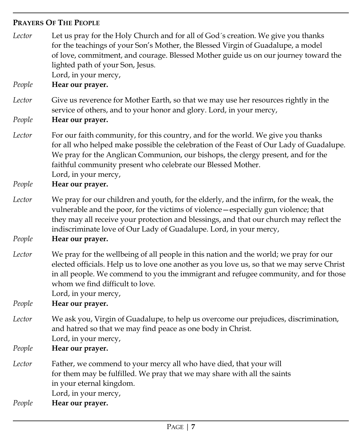# **PRAYERS OF THE PEOPLE**

*Lector* Let us pray for the Holy Church and for all of God´s creation. We give you thanks for the teachings of your Son's Mother, the Blessed Virgin of Guadalupe, a model of love, commitment, and courage. Blessed Mother guide us on our journey toward the lighted path of your Son, Jesus. Lord, in your mercy,

*People* **Hear our prayer.**

*Lector* Give us reverence for Mother Earth, so that we may use her resources rightly in the service of others, and to your honor and glory. Lord, in your mercy,

*People* **Hear our prayer.**

- *Lector* For our faith community, for this country, and for the world. We give you thanks for all who helped make possible the celebration of the Feast of Our Lady of Guadalupe. We pray for the Anglican Communion, our bishops, the clergy present, and for the faithful community present who celebrate our Blessed Mother. Lord, in your mercy,
- *People* **Hear our prayer.**
- *Lector* We pray for our children and youth, for the elderly, and the infirm, for the weak, the vulnerable and the poor, for the victims of violence—especially gun violence; that they may all receive your protection and blessings, and that our church may reflect the indiscriminate love of Our Lady of Guadalupe. Lord, in your mercy,

*People* **Hear our prayer.**

*Lector* We pray for the wellbeing of all people in this nation and the world; we pray for our elected officials. Help us to love one another as you love us, so that we may serve Christ in all people. We commend to you the immigrant and refugee community, and for those whom we find difficult to love.

Lord, in your mercy,

*People* **Hear our prayer.**

- *Lector* We ask you, Virgin of Guadalupe, to help us overcome our prejudices, discrimination, and hatred so that we may find peace as one body in Christ. Lord, in your mercy,
- *People* **Hear our prayer.**
- *Lector* Father, we commend to your mercy all who have died, that your will for them may be fulfilled. We pray that we may share with all the saints in your eternal kingdom.

Lord, in your mercy,

*People* **Hear our prayer.**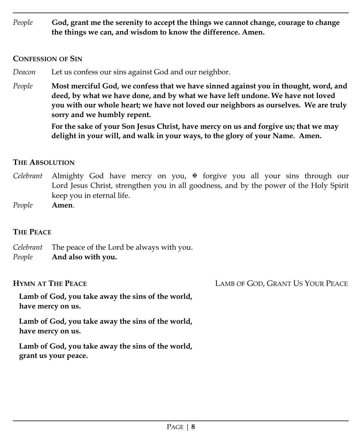*People* **God, grant me the serenity to accept the things we cannot change, courage to change the things we can, and wisdom to know the difference. Amen.**

## **CONFESSION OF SIN**

- *Deacon* Let us confess our sins against God and our neighbor.
- *People* **Most merciful God, we confess that we have sinned against you in thought, word, and deed, by what we have done, and by what we have left undone. We have not loved you with our whole heart; we have not loved our neighbors as ourselves. We are truly sorry and we humbly repent.**

**For the sake of your Son Jesus Christ, have mercy on us and forgive us; that we may delight in your will, and walk in your ways, to the glory of your Name. Amen.**

# **THE ABSOLUTION**

- *Celebrant* Almighty God have mercy on you,  $\mathbf{\Psi}$  forgive you all your sins through our Lord Jesus Christ, strengthen you in all goodness, and by the power of the Holy Spirit keep you in eternal life.
- *People* **Amen**.

# **THE PEACE**

*Celebrant* The peace of the Lord be always with you. *People* **And also with you.**

**Lamb of God, you take away the sins of the world, have mercy on us.**

**Lamb of God, you take away the sins of the world, have mercy on us.**

**Lamb of God, you take away the sins of the world, grant us your peace.**

**HYMN AT THE PEACE** LAMB OF GOD, GRANT US YOUR PEACE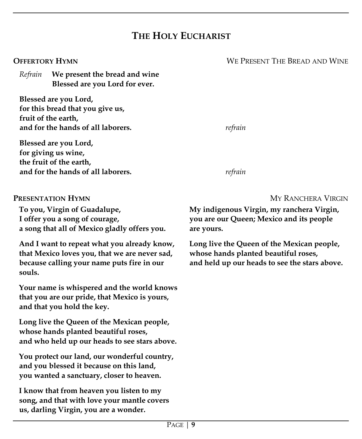# **THE HOLY EUCHARIST**

*Refrain* **We present the bread and wine Blessed are you Lord for ever.**

**Blessed are you Lord, for this bread that you give us, fruit of the earth, and for the hands of all laborers.** *refrain*

**Blessed are you Lord, for giving us wine, the fruit of the earth, and for the hands of all laborers.** *refrain* 

**To you, Virgin of Guadalupe, I offer you a song of courage, a song that all of Mexico gladly offers you.**

**And I want to repeat what you already know, that Mexico loves you, that we are never sad, because calling your name puts fire in our souls.**

**Your name is whispered and the world knows that you are our pride, that Mexico is yours, and that you hold the key.**

**Long live the Queen of the Mexican people, whose hands planted beautiful roses, and who held up our heads to see stars above.**

**You protect our land, our wonderful country, and you blessed it because on this land, you wanted a sanctuary, closer to heaven.**

**I know that from heaven you listen to my song, and that with love your mantle covers us, darling Virgin, you are a wonder.**

**PRESENTATION HYMN** MY RANCHERA VIRGIN

**My indigenous Virgin, my ranchera Virgin, you are our Queen; Mexico and its people are yours.**

**Long live the Queen of the Mexican people, whose hands planted beautiful roses, and held up our heads to see the stars above.**

**OFFERTORY HYMN** WE PRESENT THE BREAD AND WINE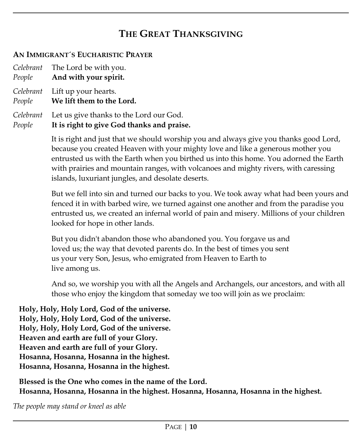# **THE GREAT THANKSGIVING**

# **AN IMMIGRANT´S EUCHARISTIC PRAYER**

|        | Celebrant The Lord be with you.<br>People And with your spirit. |  |  |  |
|--------|-----------------------------------------------------------------|--|--|--|
| People | Celebrant Lift up your hearts.<br>We lift them to the Lord.     |  |  |  |
|        | $\sigma$ is the set of the set of $\tau$                        |  |  |  |

### *Celebrant* Let us give thanks to the Lord our God. *People* **It is right to give God thanks and praise.**

It is right and just that we should worship you and always give you thanks good Lord, because you created Heaven with your mighty love and like a generous mother you entrusted us with the Earth when you birthed us into this home. You adorned the Earth with prairies and mountain ranges, with volcanoes and mighty rivers, with caressing islands, luxuriant jungles, and desolate deserts.

But we fell into sin and turned our backs to you. We took away what had been yours and fenced it in with barbed wire, we turned against one another and from the paradise you entrusted us, we created an infernal world of pain and misery. Millions of your children looked for hope in other lands.

But you didn't abandon those who abandoned you. You forgave us and loved us; the way that devoted parents do. In the best of times you sent us your very Son, Jesus, who emigrated from Heaven to Earth to live among us.

And so, we worship you with all the Angels and Archangels, our ancestors, and with all those who enjoy the kingdom that someday we too will join as we proclaim:

**Holy, Holy, Holy Lord, God of the universe. Holy, Holy, Holy Lord, God of the universe. Holy, Holy, Holy Lord, God of the universe. Heaven and earth are full of your Glory. Heaven and earth are full of your Glory. Hosanna, Hosanna, Hosanna in the highest. Hosanna, Hosanna, Hosanna in the highest.**

**Blessed is the One who comes in the name of the Lord. Hosanna, Hosanna, Hosanna in the highest. Hosanna, Hosanna, Hosanna in the highest.**

*The people may stand or kneel as able*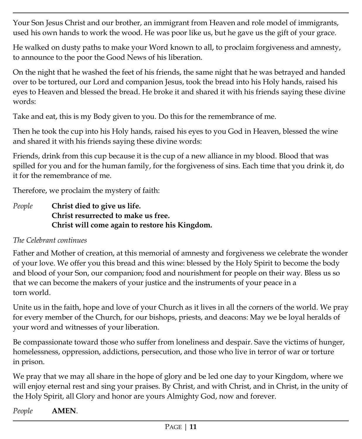Your Son Jesus Christ and our brother, an immigrant from Heaven and role model of immigrants, used his own hands to work the wood. He was poor like us, but he gave us the gift of your grace.

He walked on dusty paths to make your Word known to all, to proclaim forgiveness and amnesty, to announce to the poor the Good News of his liberation.

On the night that he washed the feet of his friends, the same night that he was betrayed and handed over to be tortured, our Lord and companion Jesus, took the bread into his Holy hands, raised his eyes to Heaven and blessed the bread. He broke it and shared it with his friends saying these divine words:

Take and eat, this is my Body given to you. Do this for the remembrance of me.

Then he took the cup into his Holy hands, raised his eyes to you God in Heaven, blessed the wine and shared it with his friends saying these divine words:

Friends, drink from this cup because it is the cup of a new alliance in my blood. Blood that was spilled for you and for the human family, for the forgiveness of sins. Each time that you drink it, do it for the remembrance of me.

Therefore, we proclaim the mystery of faith:

*People* **Christ died to give us life. Christ resurrected to make us free. Christ will come again to restore his Kingdom.**

# *The Celebrant continues*

Father and Mother of creation, at this memorial of amnesty and forgiveness we celebrate the wonder of your love. We offer you this bread and this wine: blessed by the Holy Spirit to become the body and blood of your Son, our companion; food and nourishment for people on their way. Bless us so that we can become the makers of your justice and the instruments of your peace in a torn world.

Unite us in the faith, hope and love of your Church as it lives in all the corners of the world. We pray for every member of the Church, for our bishops, priests, and deacons: May we be loyal heralds of your word and witnesses of your liberation.

Be compassionate toward those who suffer from loneliness and despair. Save the victims of hunger, homelessness, oppression, addictions, persecution, and those who live in terror of war or torture in prison.

We pray that we may all share in the hope of glory and be led one day to your Kingdom, where we will enjoy eternal rest and sing your praises. By Christ, and with Christ, and in Christ, in the unity of the Holy Spirit, all Glory and honor are yours Almighty God, now and forever.

*People* **AMEN**.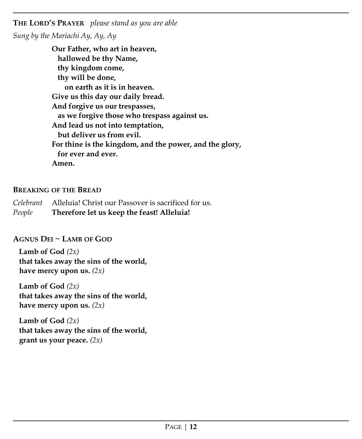**THE LORD'S PRAYER** *please stand as you are able Sung by the Mariachi Ay, Ay, Ay* 

> **Our Father, who art in heaven, hallowed be thy Name, thy kingdom come, thy will be done, on earth as it is in heaven. Give us this day our daily bread. And forgive us our trespasses, as we forgive those who trespass against us. And lead us not into temptation, but deliver us from evil. For thine is the kingdom, and the power, and the glory, for ever and ever. Amen.**

# **BREAKING OF THE BREAD**

*Celebrant* Alleluia! Christ our Passover is sacrificed for us. *People* **Therefore let us keep the feast! Alleluia!**

# **AGNUS DEI ~ LAMB OF GOD**

**Lamb of God** *(2x)* **that takes away the sins of the world, have mercy upon us.** *(2x)*

**Lamb of God** *(2x)* **that takes away the sins of the world, have mercy upon us.**  $(2x)$ 

**Lamb of God** *(2x)* **that takes away the sins of the world, grant us your peace.** *(2x)*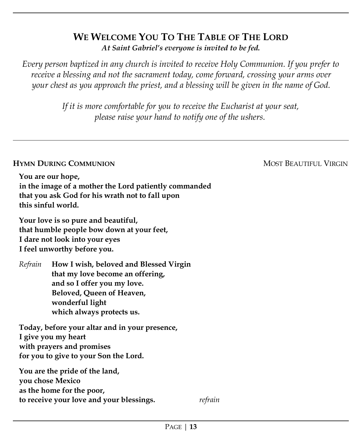# **WE WELCOME YOU TO THE TABLE OF THE LORD** *At Saint Gabriel's everyone is invited to be fed.*

*Every person baptized in any church is invited to receive Holy Communion. If you prefer to receive a blessing and not the sacrament today, come forward, crossing your arms over your chest as you approach the priest, and a blessing will be given in the name of God.* 

> *If it is more comfortable for you to receive the Eucharist at your seat, please raise your hand to notify one of the ushers.*

# **Hymn During Communion** and the community of the community of the community of the community of the community of the community of the community of the community of the community of the community of the community of the com

**You are our hope, in the image of a mother the Lord patiently commanded that you ask God for his wrath not to fall upon this sinful world.**

**Your love is so pure and beautiful, that humble people bow down at your feet, I dare not look into your eyes I feel unworthy before you.**

*Refrain* **How I wish, beloved and Blessed Virgin that my love become an offering, and so I offer you my love. Beloved, Queen of Heaven, wonderful light which always protects us.**

**Today, before your altar and in your presence, I give you my heart with prayers and promises for you to give to your Son the Lord.**

**You are the pride of the land, you chose Mexico as the home for the poor, to receive your love and your blessings.** *refrain*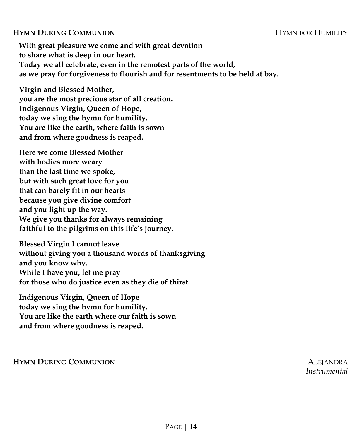# **HYMN DURING COMMUNION**

**With great pleasure we come and with great devotion to share what is deep in our heart. Today we all celebrate, even in the remotest parts of the world, as we pray for forgiveness to flourish and for resentments to be held at bay.**

**Virgin and Blessed Mother, you are the most precious star of all creation. Indigenous Virgin, Queen of Hope, today we sing the hymn for humility. You are like the earth, where faith is sown and from where goodness is reaped.**

**Here we come Blessed Mother with bodies more weary than the last time we spoke, but with such great love for you that can barely fit in our hearts because you give divine comfort and you light up the way. We give you thanks for always remaining faithful to the pilgrims on this life's journey.**

**Blessed Virgin I cannot leave without giving you a thousand words of thanksgiving and you know why. While I have you, let me pray for those who do justice even as they die of thirst.**

**Indigenous Virgin, Queen of Hope today we sing the hymn for humility. You are like the earth where our faith is sown and from where goodness is reaped.**

**HYMN DURING COMMUNION** ALEJANDRA

*Instrumental*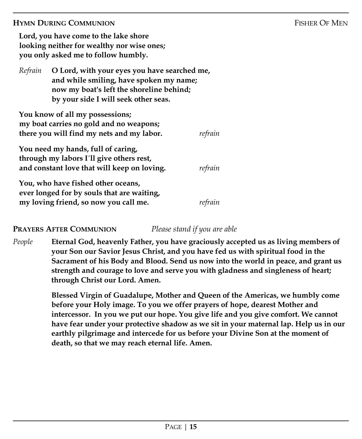## **HYMN DURING COMMUNION** FISHER OF MEN

**Lord, you have come to the lake shore looking neither for wealthy nor wise ones; you only asked me to follow humbly.**

| Refrain O Lord, with your eyes you have searched me, |  |
|------------------------------------------------------|--|
| and while smiling, have spoken my name;              |  |
| now my boat's left the shoreline behind;             |  |
| by your side I will seek other seas.                 |  |

| You know of all my possessions;<br>my boat carries no gold and no weapons;                                                    |         |
|-------------------------------------------------------------------------------------------------------------------------------|---------|
| there you will find my nets and my labor.                                                                                     | refrain |
| You need my hands, full of caring,<br>through my labors I'll give others rest,<br>and constant love that will keep on loving. | refrain |
| You, who have fished other oceans,                                                                                            |         |
| ever longed for by souls that are waiting,                                                                                    |         |
| my loving friend, so now you call me.                                                                                         |         |

# **PRAYERS AFTER COMMUNION** *Please stand if you are able*

*People* **Eternal God, heavenly Father, you have graciously accepted us as living members of your Son our Savior Jesus Christ, and you have fed us with spiritual food in the Sacrament of his Body and Blood. Send us now into the world in peace, and grant us strength and courage to love and serve you with gladness and singleness of heart; through Christ our Lord. Amen.**

> **Blessed Virgin of Guadalupe, Mother and Queen of the Americas, we humbly come before your Holy image. To you we offer prayers of hope, dearest Mother and intercessor. In you we put our hope. You give life and you give comfort. We cannot have fear under your protective shadow as we sit in your maternal lap. Help us in our earthly pilgrimage and intercede for us before your Divine Son at the moment of death, so that we may reach eternal life. Amen.**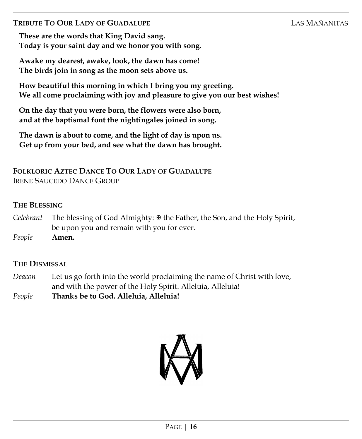# **TRIBUTE TO OUR LADY OF GUADALUPE** LAS MAÑANITAS

**These are the words that King David sang. Today is your saint day and we honor you with song.**

**Awake my dearest, awake, look, the dawn has come! The birds join in song as the moon sets above us.**

**How beautiful this morning in which I bring you my greeting. We all come proclaiming with joy and pleasure to give you our best wishes!**

**On the day that you were born, the flowers were also born, and at the baptismal font the nightingales joined in song.**

**The dawn is about to come, and the light of day is upon us. Get up from your bed, and see what the dawn has brought.**

# **FOLKLORIC AZTEC DANCE TO OUR LADY OF GUADALUPE** IRENE SAUCEDO DANCE GROUP

# **THE BLESSING**

*Celebrant* The blessing of God Almighty: the Father, the Son, and the Holy Spirit, be upon you and remain with you for ever.

*People* **Amen.**

# **THE DISMISSAL**

- *Deacon* Let us go forth into the world proclaiming the name of Christ with love, and with the power of the Holy Spirit. Alleluia, Alleluia!
- *People* **Thanks be to God. Alleluia, Alleluia!**

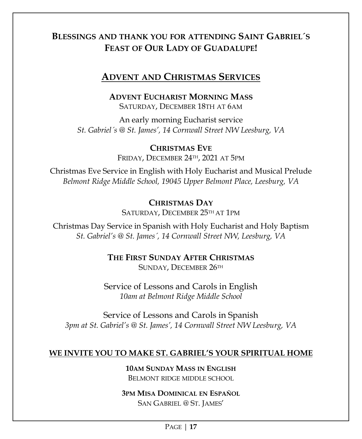# **BLESSINGS AND THANK YOU FOR ATTENDING SAINT GABRIEL´S FEAST OF OUR LADY OF GUADALUPE!**

# **ADVENT AND CHRISTMAS SERVICES**

**ADVENT EUCHARIST MORNING MASS** SATURDAY, DECEMBER 18TH AT 6AM

An early morning Eucharist service *St. Gabriel´s @ St. James', 14 Cornwall Street NW Leesburg, VA*

> **CHRISTMAS EVE** FRIDAY, DECEMBER 24TH, 2021 AT 5PM

Christmas Eve Service in English with Holy Eucharist and Musical Prelude *Belmont Ridge Middle School, 19045 Upper Belmont Place, Leesburg, VA*

# **CHRISTMAS DAY**

SATURDAY, DECEMBER 25TH AT 1PM

Christmas Day Service in Spanish with Holy Eucharist and Holy Baptism *St. Gabriel's @ St. James´, 14 Cornwall Street NW, Leesburg, VA* 

> **THE FIRST SUNDAY AFTER CHRISTMAS** SUNDAY, DECEMBER 26TH

Service of Lessons and Carols in English *10am at Belmont Ridge Middle School*

Service of Lessons and Carols in Spanish *3pm at St. Gabriel's @ St. James', 14 Cornwall Street NW Leesburg, VA* 

# **WE INVITE YOU TO MAKE ST. GABRIEL'S YOUR SPIRITUAL HOME**

**10AM SUNDAY MASS IN ENGLISH** BELMONT RIDGE MIDDLE SCHOOL

# **3PM MISA DOMINICAL EN ESPAÑOL** SAN GABRIEL @ ST. JAMES'